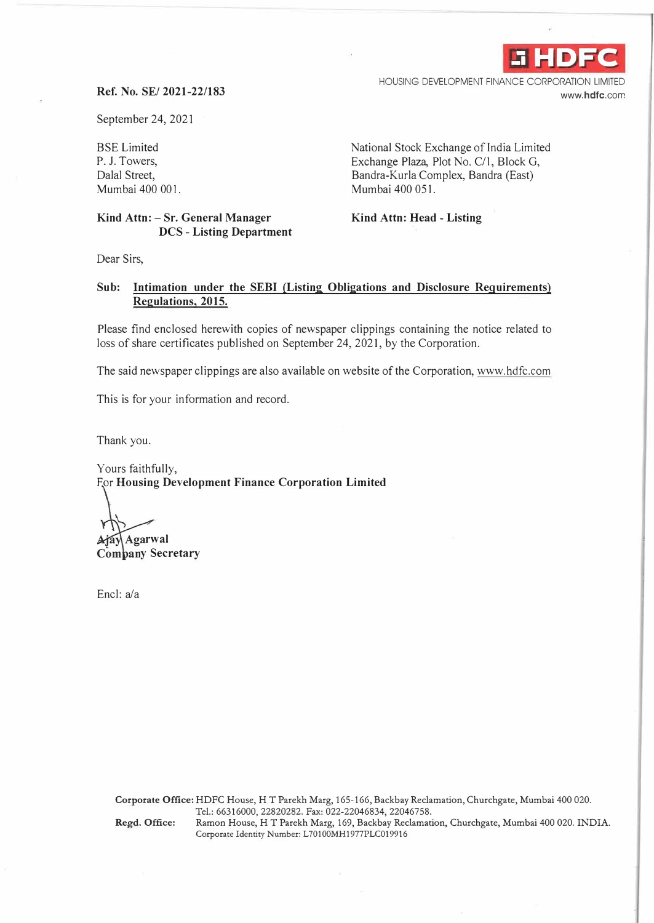

HOUSING DEVELOPMENT FINANCE CORPORATION LIMITED **www.hdfc.com** 

#### **Ref. No. SE/ 2021-22/183**

September 24, 2021

BSE Limited P. J. Towers, Dalal Street, Mumbai 400 001.

### **Kind Attn: -Sr. General Manager DCS - Listing Department**

National Stock Exchange of India Limited Exchange Plaza, Plot No. C/1, Block G, Bandra-Kurla Complex, Sandra (East) Mumbai 400 051.

**Kind Attn: Head - Listing** 

Dear Sirs,

#### **Sub: Intimation under the SEBI (Listing Obligations and Disclosure Requirements) Regulations, 2015.**

Please find enclosed herewith copies of newspaper clippings containing the notice related to loss of share certificates published on September 24, 2021, by the Corporation.

The said newspaper clippings are also available on website of the Corporation, www.hdfc.com

This is for your information and record.

Thank you.

Yours faithfully, **For Housing Development Finance Corporation Limited** 

Ajay Agarwal **Company Secretary** 

Encl: a/a

**Corporate Office:** HDFC House, HT Parekh Marg, 165-166, Backbay Reclamation, Churchgate, Mumbai 400 020. Tel.: 66316000, 22820282. Fax: 022-22046834, 22046758. Regd. Office: Ramon House, HT Parekh Marg, 169, Backbay Reclamation, Churchgate, Mumbai 400 020. INDIA. Corporate Identity Number: L70100MH1977PLC019916